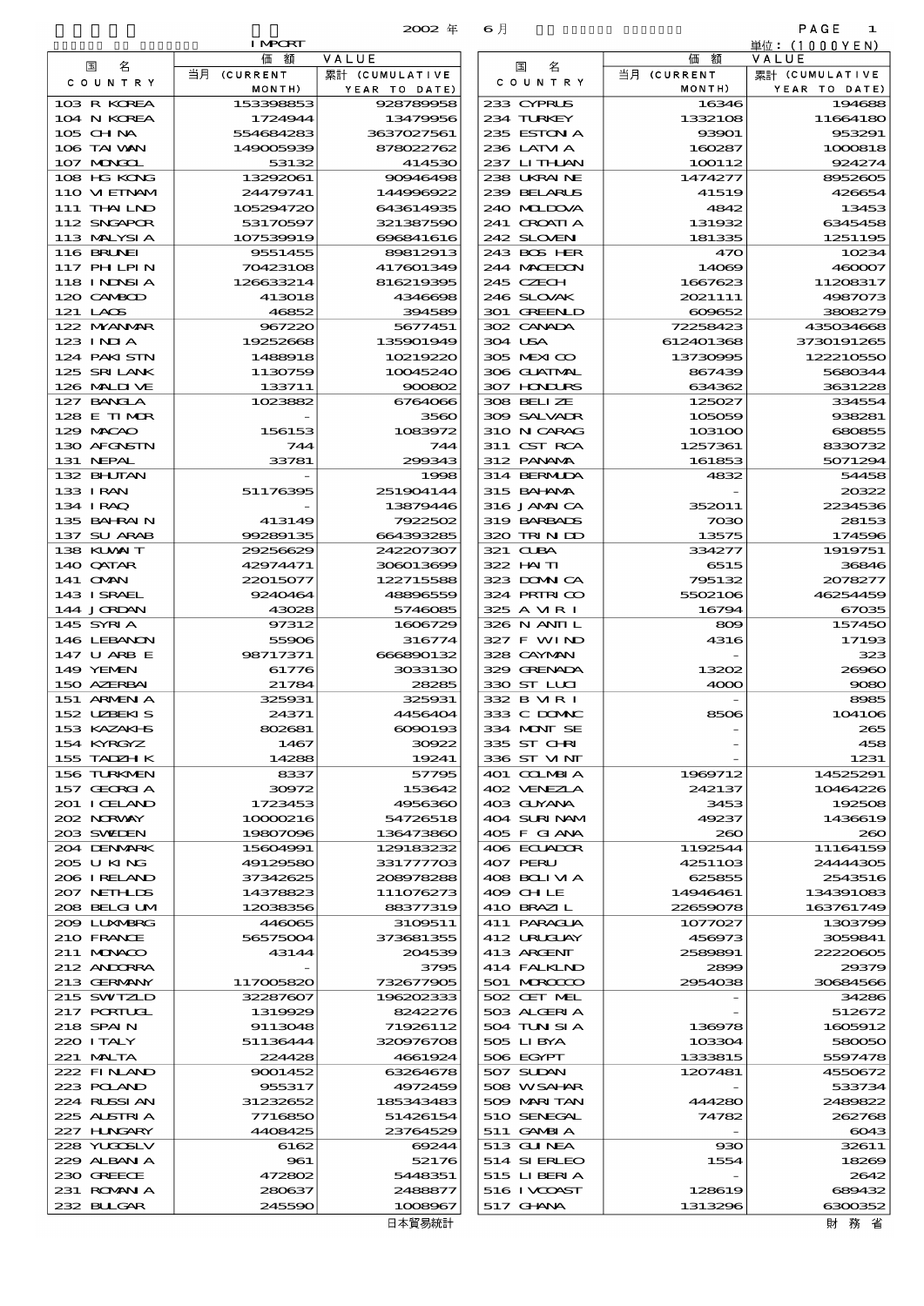|                              | <b>I MPORT</b>       |                        |                             |                  | 単位: (1000 Y E N )     |
|------------------------------|----------------------|------------------------|-----------------------------|------------------|-----------------------|
| 名<br>国                       | 価額                   | VALUE                  | 名<br>国                      | 価額               | VALUE                 |
| COUNTRY                      | 当月 (CURRENT          | 累計 (CUMULATIVE         | COUNTRY                     | 当月 (CURRENT      | 累計 (CUMULATIVE        |
|                              | MONTH)               | YEAR TO DATE)          |                             | MONTH)           | YEAR TO DATE)         |
| 103 R KOREA                  | 153398853            | 928789958              | 233 CYPRUS                  | 16346            | 194688                |
| 104 N KOREA                  | 1724944              | 13479956               | 234 TURKEY                  | 1332108          | 11664180              |
| $105$ CHNA                   | 554684283            | 3637027561             | 235 ESTON A                 | 93901            | 953291                |
| 106 TAI VAN                  | 149005939            | 878022762              | 236 LATM A                  | 160287           | 1000818               |
| 107 MAGAL                    | 53132                | 414530                 | 237 LITHAN                  | 100112           | 924274                |
| 108 HG KONG<br>110 VIEINAM   | 13292061<br>24479741 | 90946498<br>144996922  | 238 UKRAINE<br>239 BELARUS  | 1474277<br>41519 | 8952605<br>426654     |
| 111 THAILND                  | 105294720            | 643614935              | 240 MIDIXA                  | 4842             | 13453                 |
| 112 SNGAPOR                  | 53170597             | 321387590              | 241 CROATLA                 | 131932           | 6345458               |
| 113 MALYSIA                  | 107539919            | 696841616              | 242 SLOVENI                 | 181335           | 1251195               |
| 116 BRUNEI                   | 9551455              | 89812913               | 243 BOS HER                 | 470              | 10234                 |
| <b>117 PHLPIN</b>            | 70423108             | 417601349              | 244 MACEDON                 | 14069            | 460007                |
| <b>118 INDSIA</b>            | 126633214            | 816219395              | 245 CZECH                   | 1667623          | 11208317              |
| 120 CAMBOD                   | 413018               | 4346698                | 246 SLOVAK                  | 2021111          | 4987073               |
| 121 LAOS                     | 46852                | 394589                 | 301 GREENLD                 | 609652           | 3808279               |
| 122 NYANAR                   | 967220               | 5677451                | 302 CANADA                  | 72258423         | 43503466              |
| $123$ INIA                   | 19252668             | 135901949              | 304 USA                     | 612401368        | 3730191265            |
| 124 PAKISTN                  | 1488918              | 10219220               | 305 MEXICO                  | 13730995         | 122210550             |
| 125 SRILANK                  | 1130759              | 10045240               | 306 GUATMAL                 | 867439           | 5680344               |
| 126 MALINE                   | 133711               | 900802                 | 307 HONDURS                 | 634362           | 3631228               |
| 127 BANCLA                   | 1023882              | 6764066                | 308 BELLZE                  | 125027           | 334554                |
| 128 E TIMOR                  |                      | 3560                   | 309 SALVADR                 | 105059           | 938281                |
| 129 MACAO                    | 156153               | 1083972                | 310 N CARAG                 | 103100           | 680855                |
| 130 AFGNSTN                  | 744                  | 744                    | 311 CST RCA                 | 1257361          | 8330732               |
| 131 NEPAL                    | 33781                | 299343                 | 312 PANAMA                  | 161853           | 5071294               |
| 132 BHUTAN                   |                      | 1998                   | 314 BERMIDA                 | 4832             | 54458                 |
| 133 IRAN                     | 51176395             | 251904144              | 315 BAI ANA                 |                  | 20322                 |
| 134 I RAQ                    |                      | 13879446               | 316 JAMAICA                 | 352011           | 2234536               |
| 135 BAHRAIN                  | 413149               | 7922502                | 319 BARBADS                 | 7030             | 28153                 |
| 137 SU ARAB<br>138 KLVXIT    | 99289135<br>29256629 | 664393285<br>242207307 | 320 TRINDO<br>321 CLBA      | 13575<br>334277  | 174596<br>1919751     |
| 140 QATAR                    | 42974471             | 306013699              | 322 HAITI                   | 6515             | 36846                 |
| 141 OMN                      | 22015077             | 122715588              | 323 DOMNICA                 | 795132           | 207827                |
| 143 ISRAEL                   | 9240464              | 48896559               | 324 PRIRICO                 | 5502106          | 46254459              |
| 144 JORDAN                   | 43028                | 5746085                | 325 A MR I                  | 16794            | 67035                 |
| 145 SYRIA                    | 97312                | 1606729                | 326 N ANII L                | 809              | 157450                |
| 146 LEBANON                  | 55906                | 316774                 | 327 F WIND                  | 4316             | 17193                 |
| 147 U ARB E                  | 98717371             | 666890132              | 328 CAYMAN                  |                  | 32.                   |
| 149 YEMEN                    | 61776                | 3033130                | 329 GRENADA                 | 13202            | <b>26960</b>          |
| 150 AZERBAI                  | 21784                | 28285                  | 330 ST LUI                  | 4000             | 9080                  |
| 151 ARMENIA                  | 325931               | 325931                 | 332 B MR I                  |                  | 8985                  |
| 152 UZBEKIS                  | 24371                | 4456404                | 333 C DOMAC                 | 8506             | 1O41O6                |
| 153 KAZAKI S                 | 802681               | 6090193                | 334 MONT SE                 |                  | 265                   |
| 154 KYRGYZ                   | 1467                 | 30922                  | 335 ST CHRI                 |                  | 458                   |
| 155 TADZH K                  | 14288                | 19241                  | 336 ST VINT                 |                  | 1231                  |
| 156 TURKMEN                  | 8337                 | 57795                  | 401 COLMBIA                 | 1969712          | 14525291              |
| 157 GEORGIA                  | 30972                | 153642                 | 402 VENEZIA                 | 242137           | 10464226              |
| 201 I CELAND<br>202 NRWAY    | 1723453              | 4956360                | 403 GUYANA                  | 3453             | 192506                |
| 203 SWIDEN                   | 10000216<br>19807096 | 54726518<br>136473860  | 404 SURINAM<br>405 F GIANA  | 49237<br>200     | 1436619               |
| 204 DENMARK                  | 15604991             | 129183232              | 406 ECUADOR                 | 1192544          | $2\alpha$<br>11164159 |
| 2005 U KING                  | 49129580             | 331777703              | 407 PERU                    | 4251103          | 2444430E              |
| 206 I RELAND                 | 37342625             | 208978288              | 408 BOLI VI A               | 625855           | 2543516               |
| 207 NETHLIS                  | 14378823             | 111076273              | 409 CHLE                    | 14946461         | 134391083             |
| 208 BELGI UM                 | 12038356             | 88377319               | 410 BRAZIL                  | 22659078         | 163761749             |
| 209 LUNABRG                  | 446065               | 3109511                | 411 PARAGUA                 | 1077027          | 1303799               |
| 210 FRANCE                   | 56575004             | 373681355              | 412 URUCUAY                 | 456973           | 3059841               |
| 211 MUNACO                   | 43144                | 204539                 | 413 ARGENT                  | 2589891          | 22220606              |
| 212 ANDORRA                  |                      | 3795                   | 414 FALKLND                 | 2899             | 29379                 |
| 213 GERMANY                  | 117005820            | 732677905              | 501 MROCCO                  | 2954038          | 30684566              |
| 215 SWIZLD                   | 32287607             | 196202333              | 502 CET MEL                 |                  | 34286                 |
| 217 PORTUGL                  | 1319929              | 8242276                | 503 ALGERIA                 |                  | 512672                |
| 218 SPAIN                    | 9113048              | 71926112               | 504 TUN SI A                | 136978           | 1605912               |
| 220 I TALY                   | 51136444             | 320976708              | 505 LIBYA                   | 103304           | 580050                |
| 221 MALTA                    | 224428               | 4661924                | 506 EGYPT                   | 1333815          | 5597478               |
| 222 FINLAND                  | 9001452              | 63264678               | 507 SUDAN                   | 1207481          | 4550672               |
| 223 POLAND                   | 955317               | 4972459                | 508 WSAHAR                  |                  | 533734                |
| 224 RUSSI AN<br>225 ALSTRI A | 31232652<br>7716850  | 185343483<br>51426154  | 509 MARI TAN<br>510 SENEGAL | 444280<br>74782  | 2489822<br>262768     |
| 227 H.NGARY                  | 4408425              | 23764529               | 511 GAMBIA                  |                  | 6043                  |
| 228 YUGOSLV                  | 6162                 | 69244                  | 513 GUNEA                   | $_{\rm 930}$     | 32611                 |
| 229 ALBAN A                  | 961                  | 52176                  | 514 SIERLEO                 | 1554             | 18265                 |
| 230 GREECE                   | 472802               | 5448351                | 515 LIBERIA                 |                  | 2642                  |
| 231 ROMANI A                 | 280637               | 2488877                | 516 I VCOAST                | 128619           | 689432                |
| 232 BLLGAR                   | 245590               | 1008967                | 517 GHNA                    | 1313296          | 6300352               |
|                              |                      | 日本貿易統計                 |                             |                  | 財務省                   |
|                              |                      |                        |                             |                  |                       |

| 国                                | 仙都                       | VALUE                   |
|----------------------------------|--------------------------|-------------------------|
| 名<br>C O U N T R Y               | 当月 (CURRENT              | 累計 (CUMULATIVE          |
|                                  | MONTH)                   | YEAR TO DATE)           |
| 233 CYPRUS                       | 16346                    | 194688                  |
| 234 TURKEY                       | 1332108                  | 11664180                |
| <b>235 ESTON A</b><br>236 LATM A | 93901<br>160287          | 953291<br>1000818       |
| 237 LITHLAN                      | 100112                   | 924274                  |
| 238 UKRAINE                      | 1474277                  | 8952605                 |
| 239 BELARUS                      | 41519                    | 426654                  |
| 240 MIDOVA                       | 4842                     | 13453                   |
| 241 GROATIA                      | 131932                   | 6345458                 |
| 242 SLOVENI                      | 181335                   | 1251195                 |
| 243 BOS HER                      | 470                      | 10234                   |
| 244 MACEDON                      | 14069                    | 460007                  |
| 245 CZECH                        | 1667623                  | 11208317                |
| 246 SLOVAK                       | 2021111                  | 4987073                 |
| 301 GREENLD                      | 609652                   | 3808279                 |
| 302 CANADA                       | 72258423                 | 435034668               |
| 304 USA<br>305 MEXICO            | 612401368<br>13730995    | 3730191265<br>122210550 |
| 306 GUATNAL                      | 867439                   | 5680344                 |
| <b>307 HINIURS</b>               | 634362                   | 3631228                 |
| 308 BELIZE                       | 125027                   | 334554                  |
| 309 SALVADR                      | 105059                   | 938281                  |
| 310 N CARAG                      | 103100                   | 680855                  |
| 311 CST RCA                      | 1257361                  | 8330732                 |
| 312 PANAMA                       | 161853                   | 5071294                 |
| 314 BERMIDA                      | 4832                     | 54458                   |
| 315 BAHANA                       |                          | 20322                   |
| 316 JAMAICA                      | 352011                   | 2234536                 |
| 319 BARBADS                      | 7030                     | 28153                   |
| 320 TRINDO                       | 13575                    | 174596                  |
| 321 CUBA                         | 334277                   | 1919751                 |
| 322 HAITI                        | 6515                     | 36846                   |
| 323 DOMNICA                      | 795132                   | 2078277                 |
| 324 PRIRICO<br>325 A VIR I       | 5502106<br>16794         | 46254459<br>67035       |
| 326 N ANII L                     | 809                      | 157450                  |
| 327 F WIND                       | 4316                     | 17193                   |
| 328 CAYMAN                       |                          | 323                     |
| 329 GRENADA                      | 13202                    | 26960                   |
| 330 ST LLCI                      | 4000                     | 9080                    |
| 332 B MR I                       |                          | 8985                    |
| 333 C DOMAC                      | 8506                     | 104106                  |
| 334 MONT SE                      |                          | 265                     |
| 335 ST CHRI                      |                          | 458                     |
| 336 ST VINT                      |                          | 1231                    |
| 401 COLMBIA                      | 1969712                  | 14525291                |
| 102 VENEZIA<br>103 GUYANA        | 242137                   | 10464226<br>192508      |
| 104 SURINAM                      | 3453<br>49237            | 1436619                 |
| 105 F GIANA                      | 260                      | 200                     |
| 106 ECUADOR                      | 1192544                  | 11164159                |
| 107 PERU                         | 4251103                  | 24444305                |
| <b>108 BOLI VI A</b>             | 625855                   | 2543516                 |
| 109 CH LE                        | 14946461                 | 134391083               |
| 410 BRAZIL                       | 22659078                 | 163761749               |
| 411 PARAGUA                      | 1077027                  | 1303799                 |
| 412 URUAN                        | 456973                   | 3059841                 |
| 413 ARCENT                       | 2589891                  | 22220605                |
| 414 FALKIND                      | 2899                     | 29379                   |
| 501 MAROCCO                      | 2954038                  | 30684566                |
| 502 CET MEL                      |                          | 34286                   |
| 503 ALGERIA                      |                          | 512672                  |
| 504 TUN SI A                     | 136978                   | 1605912                 |
| 505 LIBYA                        | 103304                   | 580050                  |
| 506 EGYPT<br>507 SUDAN           | 1333815<br>1207481       | 5597478<br>4550672      |
| 508 WSAHAR                       |                          | 533734                  |
| 509 MARITAN                      | 444280                   | 2489822                 |
| 510 SENEGAL                      | 74782                    | 262768                  |
| 511 GAMBIA                       | $\overline{\phantom{0}}$ | 6043                    |
| 513 GUNEA                        | 930                      | 32611                   |
| 514 SI ERLEO                     | 1554                     | 18269                   |
| 515 LI BERI A                    |                          | 2642                    |
| 516 I VCOAST                     | 128619                   | 689432                  |
| $= 1$<br>7.7M                    | 1222                     | mes                     |